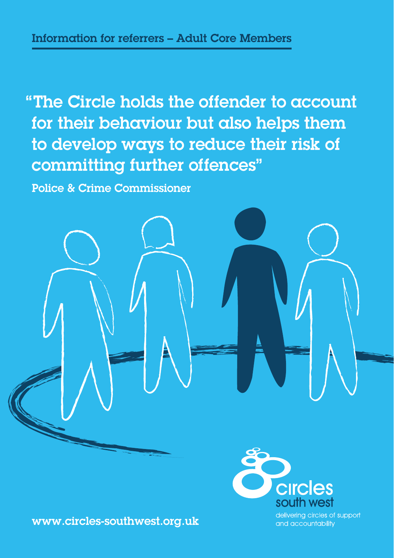"The Circle holds the offender to account for their behaviour but also helps them to develop ways to reduce their risk of committing further offences"

Police & Crime Commissioner





delivering circles of support and accountability

www.circles-southwest.org.uk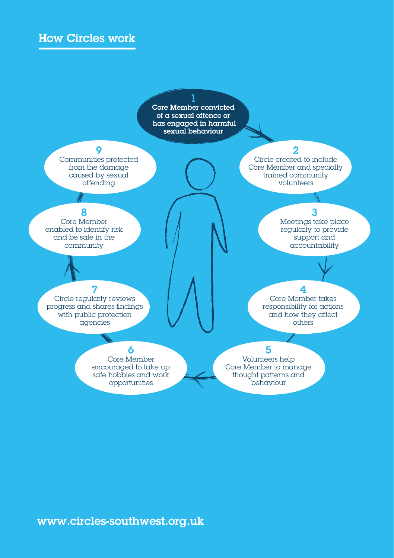## How Circles work

1 Core Member convicted of a sexual offence or has engaged in harmful sexual behaviour

Communities protected from the damage caused by sexual offending

9

2

Circle created to include Core Member and specially trained community volunteers

Core Member enabled to identify risk and be safe in the community

8

3

Meetings take place regularly to provide support and accountability

4 Core Member takes responsibility for actions and how they affect others

#### 7

Circle regularly reviews progress and shares findings with public protection agencies

#### 6

Core Member encouraged to take up safe hobbies and work opportunities

#### 5

Volunteers help Core Member to manage thought patterns and behaviour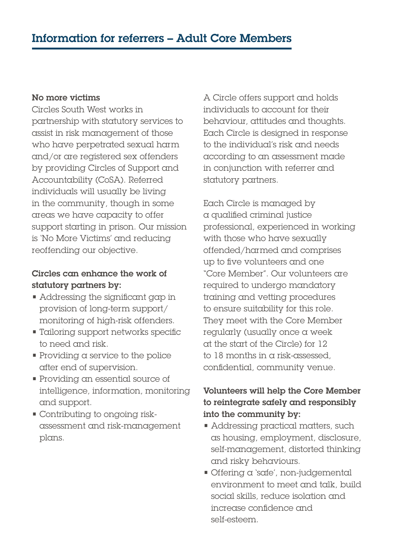#### No more victims

Circles South West works in partnership with statutory services to assist in risk management of those who have perpetrated sexual harm and/or are registered sex offenders by providing Circles of Support and Accountability (CoSA). Referred individuals will usually be living in the community, though in some areas we have capacity to offer support starting in prison. Our mission is 'No More Victims' and reducing reoffending our objective.

#### Circles can enhance the work of statutory partners by:

- Addressing the significant gap in provision of long-term support/ monitoring of high-risk offenders.
- Tailoring support networks specific to need and risk.
- $\blacksquare$  Providing a service to the police after end of supervision.
- Providing an essential source of intelligence, information, monitoring and support.
- Contributing to ongoing riskassessment and risk-management plans.

A Circle offers support and holds individuals to account for their behaviour, attitudes and thoughts. Each Circle is designed in response to the individual's risk and needs according to an assessment made in conjunction with referrer and statutory partners.

Each Circle is managed by a qualified criminal justice professional, experienced in working with those who have sexually offended/harmed and comprises up to five volunteers and one "Core Member". Our volunteers are required to undergo mandatory training and vetting procedures to ensure suitability for this role. They meet with the Core Member regularly (usually once a week at the start of the Circle) for 12 to 18 months in a risk-assessed, confidential, community venue.

### Volunteers will help the Core Member to reintegrate safely and responsibly into the community by:

- Addressing practical matters, such as housing, employment, disclosure, self-management, distorted thinking and risky behaviours.
- Offering a 'safe', non-judgemental environment to meet and talk, build social skills, reduce isolation and increase confidence and self-esteem.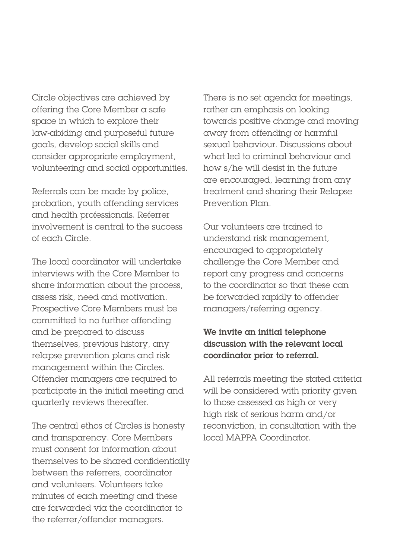Circle objectives are achieved by offering the Core Member a safe space in which to explore their law-abiding and purposeful future goals, develop social skills and consider appropriate employment, volunteering and social opportunities.

Referrals can be made by police, probation, youth offending services and health professionals. Referrer involvement is central to the success of each Circle.

The local coordinator will undertake interviews with the Core Member to share information about the process, assess risk, need and motivation. Prospective Core Members must be committed to no further offending and be prepared to discuss themselves, previous history, any relapse prevention plans and risk management within the Circles. Offender managers are required to participate in the initial meeting and quarterly reviews thereafter.

The central ethos of Circles is honesty and transparency. Core Members must consent for information about themselves to be shared confidentially between the referrers, coordinator and volunteers. Volunteers take minutes of each meeting and these are forwarded via the coordinator to the referrer/offender managers.

There is no set agenda for meetings, rather an emphasis on looking towards positive change and moving away from offending or harmful sexual behaviour. Discussions about what led to criminal behaviour and how s/he will desist in the future are encouraged, learning from any treatment and sharing their Relapse Prevention Plan.

Our volunteers are trained to understand risk management, encouraged to appropriately challenge the Core Member and report any progress and concerns to the coordinator so that these can be forwarded rapidly to offender managers/referring agency.

#### We invite an initial telephone discussion with the relevant local coordinator prior to referral.

All referrals meeting the stated criteria will be considered with priority given to those assessed as high or very high risk of serious harm and/or reconviction, in consultation with the local MAPPA Coordinator.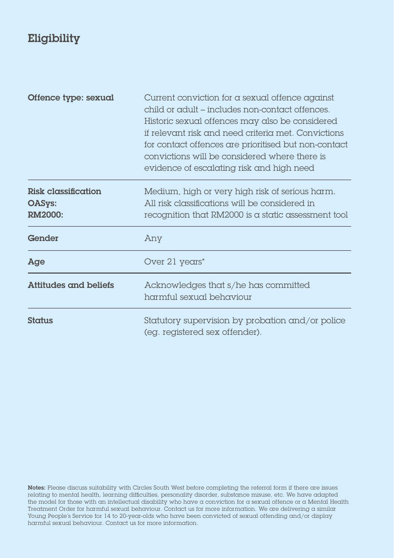# Eligibility

| Offence type: sexual                            | Current conviction for a sexual offence against<br>child or adult – includes non-contact offences.<br>Historic sexual offences may also be considered<br>if relevant risk and need criteria met. Convictions<br>for contact offences are prioritised but non-contact<br>convictions will be considered where there is<br>evidence of escalating risk and high need |
|-------------------------------------------------|--------------------------------------------------------------------------------------------------------------------------------------------------------------------------------------------------------------------------------------------------------------------------------------------------------------------------------------------------------------------|
| Risk classification<br><b>OASys:</b><br>RM2000: | Medium, high or very high risk of serious harm.<br>All risk classifications will be considered in<br>recognition that RM2000 is a static assessment tool                                                                                                                                                                                                           |
| Gender                                          | Any                                                                                                                                                                                                                                                                                                                                                                |
| Age                                             | Over 21 years*                                                                                                                                                                                                                                                                                                                                                     |
| Attitudes and beliefs                           | Acknowledges that s/he has committed<br>harmful sexual behaviour                                                                                                                                                                                                                                                                                                   |
| Status                                          | Statutory supervision by probation and/or police<br>(eg. registered sex offender).                                                                                                                                                                                                                                                                                 |

Notes: Please discuss suitability with Circles South West before completing the referral form if there are issues relating to mental health, learning difficulties, personality disorder, substance misuse, etc. We have adapted the model for those with an intellectual disability who have a conviction for a sexual offence or a Mental Health Treatment Order for harmful sexual behaviour. Contact us for more information. We are delivering a similar Young People's Service for 14 to 20-year-olds who have been convicted of sexual offending and/or display harmful sexual behaviour. Contact us for more information.